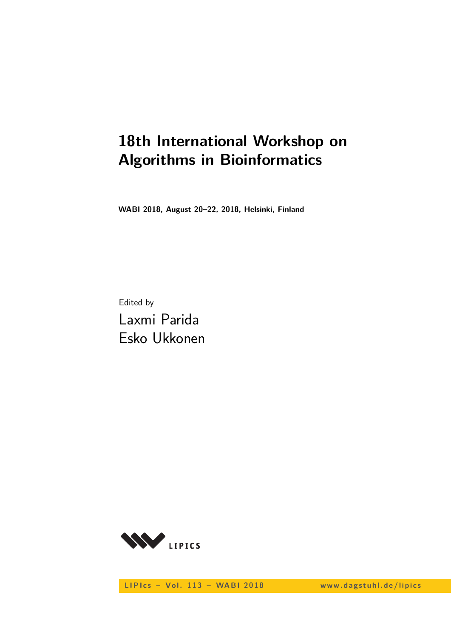# **18th International Workshop on Algorithms in Bioinformatics**

**WABI 2018, August 20–22, 2018, Helsinki, Finland**

Edited by Laxmi Parida Esko Ukkonen



LIPIcs - Vol. 113 - WABI 2018 www.dagstuhl.de/lipics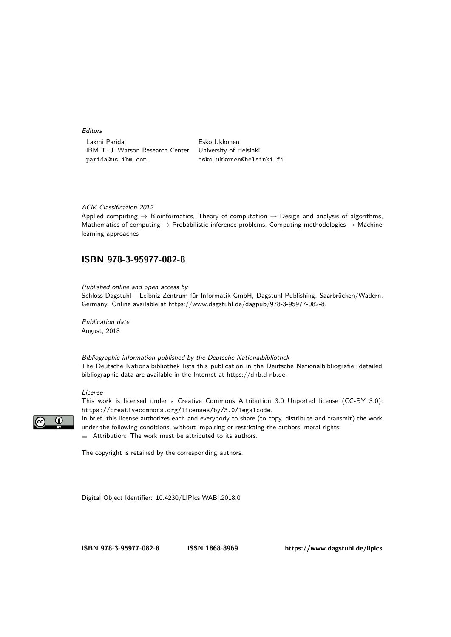Editors

Laxmi Parida **Esko Ukkonen** IBM T. J. Watson Research Center University of Helsinki parida@us.ibm.com esko.ukkonen@helsinki.fi

#### ACM Classification 2012

Applied computing  $\rightarrow$  Bioinformatics, Theory of computation  $\rightarrow$  Design and analysis of algorithms, Mathematics of computing  $\rightarrow$  Probabilistic inference problems, Computing methodologies  $\rightarrow$  Machine learning approaches

### **[ISBN 978-3-95977-082-8](http://www.dagstuhl.de/dagpub/978-3-95977-082-8)**

Published online and open access by

Schloss Dagstuhl – Leibniz-Zentrum für Informatik GmbH, Dagstuhl Publishing, Saarbrücken/Wadern, Germany. Online available at [https://www.dagstuhl.de/dagpub/978-3-95977-082-8.](https://www.dagstuhl.de/dagpub/978-3-95977-082-8)

Publication date August, 2018

Bibliographic information published by the Deutsche Nationalbibliothek The Deutsche Nationalbibliothek lists this publication in the Deutsche Nationalbibliografie; detailed bibliographic data are available in the Internet at [https://dnb.d-nb.de.](https://dnb.d-nb.de)

### License

This work is licensed under a Creative Commons Attribution 3.0 Unported license (CC-BY 3.0): https://creativecommons.org/licenses/by/3.0/legalcode.



In brief, this license authorizes each and everybody to share (to copy, distribute and transmit) the work under the following conditions, without impairing or restricting the authors' moral rights: Attribution: The work must be attributed to its authors.

The copyright is retained by the corresponding authors.

Digital Object Identifier: [10.4230/LIPIcs.WABI.2018.0](https://doi.org/10.4230/LIPIcs.WABI.2018.0)

**[ISBN 978-3-95977-082-8](http://www.dagstuhl.de/dagpub/978-3-95977-082-8) [ISSN 1868-8969](http://drops.dagstuhl.de/lipics)<https://www.dagstuhl.de/lipics>**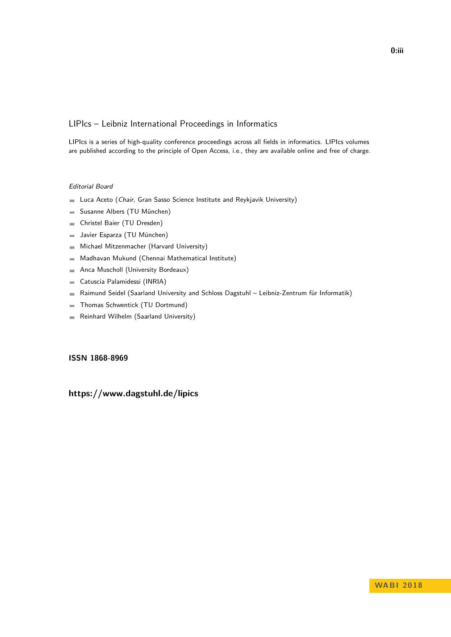## LIPIcs – Leibniz International Proceedings in Informatics

LIPIcs is a series of high-quality conference proceedings across all fields in informatics. LIPIcs volumes are published according to the principle of Open Access, i.e., they are available online and free of charge.

### Editorial Board

- **Luca Aceto** (*Chair*, Gran Sasso Science Institute and Reykjavik University)
- Susanne Albers (TU München)  $\equiv$
- Christel Baier (TU Dresden)  $\sim$
- Javier Esparza (TU München)  $\equiv$
- Michael Mitzenmacher (Harvard University)  $\sim$
- Madhavan Mukund (Chennai Mathematical Institute)  $\blacksquare$
- Anca Muscholl (University Bordeaux)  $\blacksquare$
- Catuscia Palamidessi (INRIA)  $\overline{\phantom{a}}$
- Raimund Seidel (Saarland University and Schloss Dagstuhl Leibniz-Zentrum für Informatik)  $\blacksquare$
- Thomas Schwentick (TU Dortmund)  $\overline{a}$
- Reinhard Wilhelm (Saarland University)  $\sim$

### **[ISSN 1868-8969](https://www.dagstuhl.de/dagpub/1868-8969)**

# **<https://www.dagstuhl.de/lipics>**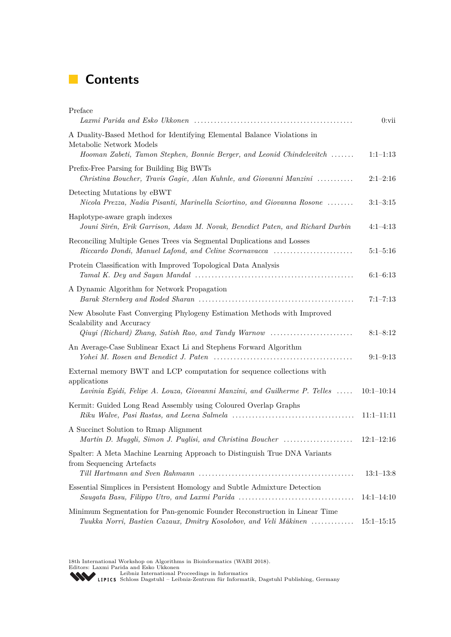# **Contents**

| Preface                                                                                                                                        | $0:$ vii       |
|------------------------------------------------------------------------------------------------------------------------------------------------|----------------|
| A Duality-Based Method for Identifying Elemental Balance Violations in<br>Metabolic Network Models                                             |                |
| Hooman Zabeti, Tamon Stephen, Bonnie Berger, and Leonid Chindelevitch                                                                          | $1:1-1:13$     |
| Prefix-Free Parsing for Building Big BWTs<br>Christina Boucher, Travis Gagie, Alan Kuhnle, and Giovanni Manzini                                | $2:1-2:16$     |
| Detecting Mutations by eBWT<br>Nicola Prezza, Nadia Pisanti, Marinella Sciortino, and Giovanna Rosone                                          | $3:1-3:15$     |
| Haplotype-aware graph indexes<br>Jouni Sirén, Erik Garrison, Adam M. Novak, Benedict Paten, and Richard Durbin                                 | $4:1-4:13$     |
| Reconciling Multiple Genes Trees via Segmental Duplications and Losses<br>Riccardo Dondi, Manuel Lafond, and Celine Scornavacca                | $5:1-5:16$     |
| Protein Classification with Improved Topological Data Analysis                                                                                 | $6:1-6:13$     |
| A Dynamic Algorithm for Network Propagation                                                                                                    | $7:1 - 7:13$   |
| New Absolute Fast Converging Phylogeny Estimation Methods with Improved<br>Scalability and Accuracy                                            | $8:1 - 8:12$   |
| An Average-Case Sublinear Exact Li and Stephens Forward Algorithm                                                                              | $9:1-9:13$     |
| External memory BWT and LCP computation for sequence collections with<br>applications                                                          |                |
| Lavinia Egidi, Felipe A. Louza, Giovanni Manzini, and Guilherme P. Telles                                                                      | $10:1-10:14$   |
| Kermit: Guided Long Read Assembly using Coloured Overlap Graphs                                                                                | $11:1-11:11$   |
| A Succinct Solution to Rmap Alignment<br>Martin D. Muggli, Simon J. Puglisi, and Christina Boucher                                             | $12:1-12:16$   |
| Spalter: A Meta Machine Learning Approach to Distinguish True DNA Variants<br>from Sequencing Artefacts                                        |                |
|                                                                                                                                                | $13:1-13:8$    |
| Essential Simplices in Persistent Homology and Subtle Admixture Detection                                                                      | $14:1-14:10$   |
| Minimum Segmentation for Pan-genomic Founder Reconstruction in Linear Time<br>Tuukka Norri, Bastien Cazaux, Dmitry Kosolobov, and Veli Mäkinen | $15:1 - 15:15$ |

18th International Workshop on Algorithms in Bioinformatics (WABI 2018).<br>Editors: Laxmi Parida and Esko Ukkonen<br>[Leibniz International Proceedings in Informatics](http://www.dagstuhl.de/lipics/)<br>LIPICS Schloss Dagstuhl – Leibniz-Zentrum für Informatik, Dag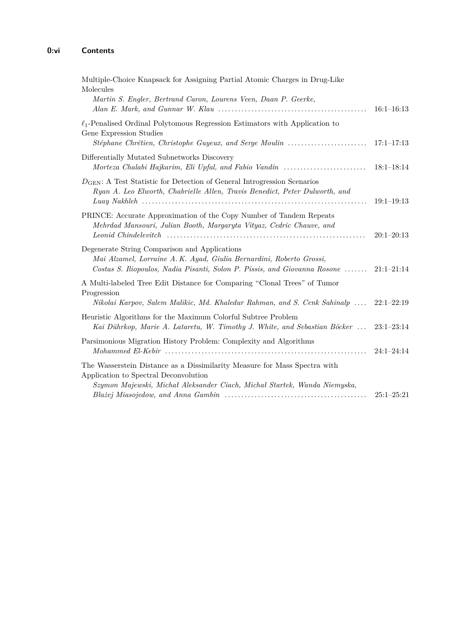| Multiple-Choice Knapsack for Assigning Partial Atomic Charges in Drug-Like<br>Molecules<br>Martin S. Engler, Bertrand Caron, Lourens Veen, Daan P. Geerke,                                               | $16:1-16:13$   |
|----------------------------------------------------------------------------------------------------------------------------------------------------------------------------------------------------------|----------------|
| $\ell_1$ -Penalised Ordinal Polytomous Regression Estimators with Application to<br>Gene Expression Studies                                                                                              |                |
| Differentially Mutated Subnetworks Discovery<br>Morteza Chalabi Hajkarim, Eli Upfal, and Fabio Vandin                                                                                                    | $18:1-18:14$   |
| $D_{\text{GEN}}$ : A Test Statistic for Detection of General Introgression Scenarios<br>Ryan A. Leo Elworth, Chabrielle Allen, Travis Benedict, Peter Dulworth, and                                      | $19:1-19:13$   |
| PRINCE: Accurate Approximation of the Copy Number of Tandem Repeats<br>Mehrdad Mansouri, Julian Booth, Margaryta Vityaz, Cedric Chauve, and                                                              | $20:1 - 20:13$ |
| Degenerate String Comparison and Applications<br>Mai Alzamel, Lorraine A. K. Ayad, Giulia Bernardini, Roberto Grossi,<br>Costas S. Iliopoulos, Nadia Pisanti, Solon P. Pissis, and Giovanna Rosone       | $21:1-21:14$   |
| A Multi-labeled Tree Edit Distance for Comparing "Clonal Trees" of Tumor<br>Progression<br>Nikolai Karpov, Salem Malikic, Md. Khaledur Rahman, and S. Cenk Sahinalp                                      | $22:1-22:19$   |
| Heuristic Algorithms for the Maximum Colorful Subtree Problem<br>Kai Dührkop, Marie A. Lataretu, W. Timothy J. White, and Sebastian Böcker                                                               | $23:1-23:14$   |
| Parsimonious Migration History Problem: Complexity and Algorithms                                                                                                                                        | $24:1 - 24:14$ |
| The Wasserstein Distance as a Dissimilarity Measure for Mass Spectra with<br>Application to Spectral Deconvolution                                                                                       |                |
| Szymon Majewski, Michał Aleksander Ciach, Michał Startek, Wanda Niemyska,<br>$Blaizej$ Miasojedow, and Anna Gambin $\ldots \ldots \ldots \ldots \ldots \ldots \ldots \ldots \ldots \ldots \ldots \ldots$ | $25:1-25:21$   |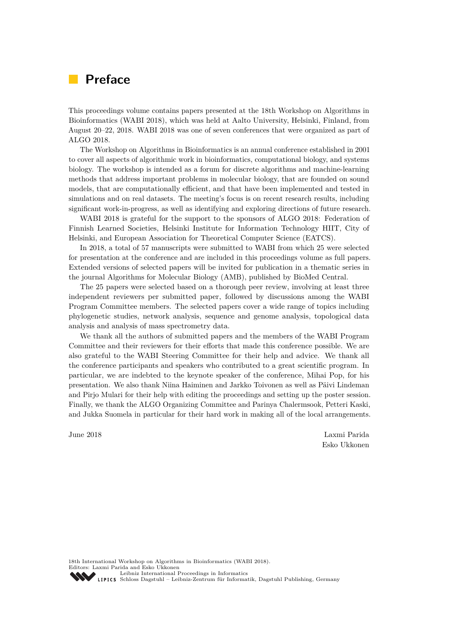# **Preface**

This proceedings volume contains papers presented at the 18th Workshop on Algorithms in Bioinformatics (WABI 2018), which was held at Aalto University, Helsinki, Finland, from August 20–22, 2018. WABI 2018 was one of seven conferences that were organized as part of ALGO 2018.

The Workshop on Algorithms in Bioinformatics is an annual conference established in 2001 to cover all aspects of algorithmic work in bioinformatics, computational biology, and systems biology. The workshop is intended as a forum for discrete algorithms and machine-learning methods that address important problems in molecular biology, that are founded on sound models, that are computationally efficient, and that have been implemented and tested in simulations and on real datasets. The meeting's focus is on recent research results, including significant work-in-progress, as well as identifying and exploring directions of future research.

WABI 2018 is grateful for the support to the sponsors of ALGO 2018: Federation of Finnish Learned Societies, Helsinki Institute for Information Technology HIIT, City of Helsinki, and European Association for Theoretical Computer Science (EATCS).

In 2018, a total of 57 manuscripts were submitted to WABI from which 25 were selected for presentation at the conference and are included in this proceedings volume as full papers. Extended versions of selected papers will be invited for publication in a thematic series in the journal Algorithms for Molecular Biology (AMB), published by BioMed Central.

The 25 papers were selected based on a thorough peer review, involving at least three independent reviewers per submitted paper, followed by discussions among the WABI Program Committee members. The selected papers cover a wide range of topics including phylogenetic studies, network analysis, sequence and genome analysis, topological data analysis and analysis of mass spectrometry data.

We thank all the authors of submitted papers and the members of the WABI Program Committee and their reviewers for their efforts that made this conference possible. We are also grateful to the WABI Steering Committee for their help and advice. We thank all the conference participants and speakers who contributed to a great scientific program. In particular, we are indebted to the keynote speaker of the conference, Mihai Pop, for his presentation. We also thank Niina Haiminen and Jarkko Toivonen as well as Päivi Lindeman and Pirjo Mulari for their help with editing the proceedings and setting up the poster session. Finally, we thank the ALGO Organizing Committee and Parinya Chalermsook, Petteri Kaski, and Jukka Suomela in particular for their hard work in making all of the local arrangements.

June 2018 Laxmi Parida Esko Ukkonen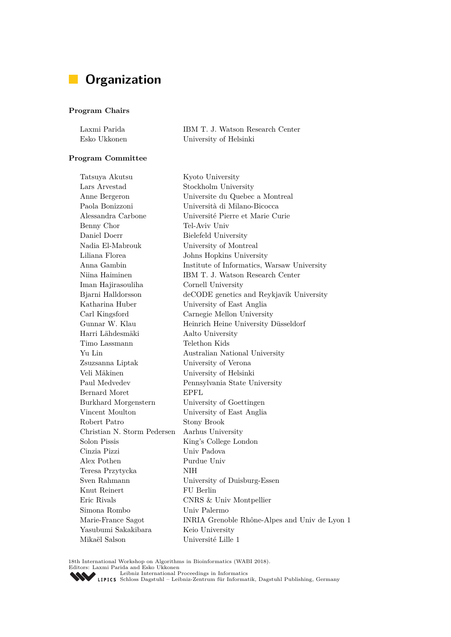# **Organization**

## **Program Chairs**

| Laxmi Parida | IBM T. J. Watson Research Center |
|--------------|----------------------------------|
| Esko Ukkonen | University of Helsinki           |

## **Program Committee**

| Tatsuya Akutsu              | Kyoto University                              |
|-----------------------------|-----------------------------------------------|
| Lars Arvestad               | Stockholm University                          |
| Anne Bergeron               | Universite du Quebec a Montreal               |
| Paola Bonizzoni             | Università di Milano-Bicocca                  |
| Alessandra Carbone          | Université Pierre et Marie Curie              |
| Benny Chor                  | Tel-Aviv Univ                                 |
| Daniel Doerr                | Bielefeld University                          |
| Nadia El-Mabrouk            | University of Montreal                        |
| Liliana Florea              | Johns Hopkins University                      |
| Anna Gambin                 | Institute of Informatics, Warsaw University   |
| Niina Haiminen              | IBM T. J. Watson Research Center              |
| Iman Hajirasouliha          | Cornell University                            |
| Bjarni Halldorsson          | deCODE genetics and Reykjavik University      |
| Katharina Huber             | University of East Anglia                     |
| Carl Kingsford              | Carnegie Mellon University                    |
| Gunnar W. Klau              | Heinrich Heine University Düsseldorf          |
| Harri Lähdesmäki            | Aalto University                              |
| Timo Lassmann               | Telethon Kids                                 |
| Yu Lin                      | Australian National University                |
| Zsuzsanna Liptak            | University of Verona                          |
| Veli Mäkinen                | University of Helsinki                        |
| Paul Medvedev               | Pennsylvania State University                 |
| Bernard Moret               | <b>EPFL</b>                                   |
| Burkhard Morgenstern        | University of Goettingen                      |
| Vincent Moulton             | University of East Anglia                     |
| Robert Patro                | Stony Brook                                   |
| Christian N. Storm Pedersen | Aarhus University                             |
| Solon Pissis                | King's College London                         |
| Cinzia Pizzi                | Univ Padova                                   |
| Alex Pothen                 | Purdue Univ                                   |
| Teresa Przytycka            | NIH                                           |
| Sven Rahmann                | University of Duisburg-Essen                  |
| Knut Reinert                | FU Berlin                                     |
| Eric Rivals                 | CNRS & Univ Montpellier                       |
| Simona Rombo                | Univ Palermo                                  |
| Marie-France Sagot          | INRIA Grenoble Rhône-Alpes and Univ de Lyon 1 |
| Yasubumi Sakakibara         | Keio University                               |
| Mikaël Salson               | Université Lille 1                            |

18th International Workshop on Algorithms in Bioinformatics (WABI 2018).<br>Editors: Laxmi Parida and Esko Ukkonen<br>[Leibniz International Proceedings in Informatics](http://www.dagstuhl.de/lipics/)<br>LIPICS Schloss Dagstuhl – Leibniz-Zentrum für Informatik, Dag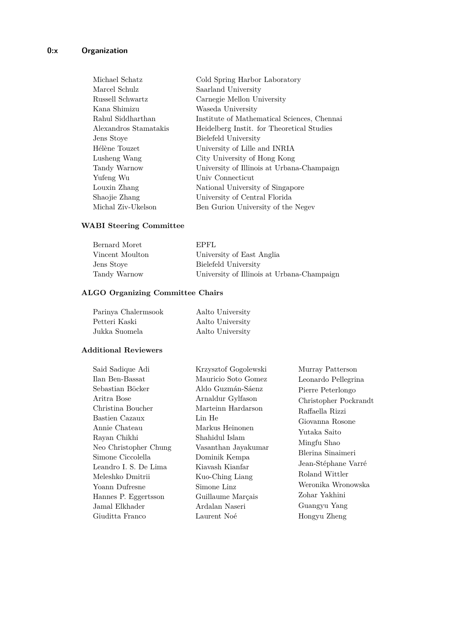| Michael Schatz        | Cold Spring Harbor Laboratory               |
|-----------------------|---------------------------------------------|
| Marcel Schulz         | Saarland University                         |
| Russell Schwartz      | Carnegie Mellon University                  |
| Kana Shimizu          | Waseda University                           |
| Rahul Siddharthan     | Institute of Mathematical Sciences, Chennai |
| Alexandros Stamatakis | Heidelberg Instit. for Theoretical Studies  |
| Jens Stoye            | Bielefeld University                        |
| Hélène Touzet         | University of Lille and INRIA               |
| Lusheng Wang          | City University of Hong Kong                |
| Tandy Warnow          | University of Illinois at Urbana-Champaign  |
| Yufeng Wu             | Univ Connecticut                            |
| Louxin Zhang          | National University of Singapore            |
| Shaojie Zhang         | University of Central Florida               |
| Michal Ziv-Ukelson    | Ben Gurion University of the Negev          |

## **WABI Steering Committee**

| Bernard Moret   | EPFL                                       |
|-----------------|--------------------------------------------|
| Vincent Moulton | University of East Anglia                  |
| Jens Stove      | Bielefeld University                       |
| Tandy Warnow    | University of Illinois at Urbana-Champaign |

# **ALGO Organizing Committee Chairs**

| Parinya Chalermsook | Aalto University |
|---------------------|------------------|
| Petteri Kaski       | Aalto University |
| Jukka Suomela       | Aalto University |

### **Additional Reviewers**

| Said Sadique Adi      | Krzysztof Gogolewski | Murray Patterson      |
|-----------------------|----------------------|-----------------------|
| Ilan Ben-Bassat       | Mauricio Soto Gomez  | Leonardo Pellegrina   |
| Sebastian Böcker      | Aldo Guzmán-Sáenz    | Pierre Peterlongo     |
| Aritra Bose           | Arnaldur Gylfason    | Christopher Pockrandt |
| Christina Boucher     | Marteinn Hardarson   | Raffaella Rizzi       |
| Bastien Cazaux        | Lin He               | Giovanna Rosone       |
| Annie Chateau         | Markus Heinonen      | Yutaka Saito          |
| Rayan Chikhi          | Shahidul Islam       | Mingfu Shao           |
| Neo Christopher Chung | Vasanthan Jayakumar  | Blerina Sinaimeri     |
| Simone Ciccolella     | Dominik Kempa        |                       |
| Leandro I. S. De Lima | Kiavash Kianfar      | Jean-Stéphane Varré   |
| Meleshko Dmitrii      | Kuo-Ching Liang      | Roland Wittler        |
| Yoann Dufresne        | Simone Linz          | Weronika Wronowska    |
| Hannes P. Eggertsson  | Guillaume Marçais    | Zohar Yakhini         |
| Jamal Elkhader        | Ardalan Naseri       | Guangyu Yang          |
| Giuditta Franco       | Laurent Noé          | Hongyu Zheng          |
|                       |                      |                       |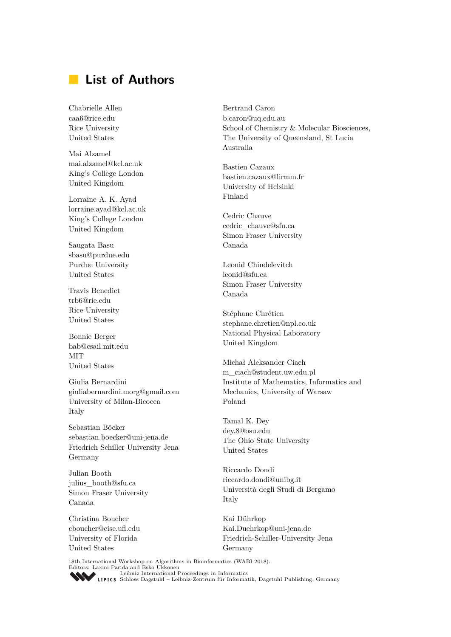# **List of Authors**

Chabrielle Allen caa6@rice.edu Rice University United States

Mai Alzamel mai.alzamel@kcl.ac.uk King's College London United Kingdom

Lorraine A. K. Ayad lorraine.ayad@kcl.ac.uk King's College London United Kingdom

Saugata Basu sbasu@purdue.edu Purdue University United States

Travis Benedict trb6@rie.edu Rice University United States

Bonnie Berger bab@csail.mit.edu **MIT** United States

Giulia Bernardini giuliabernardini.morg@gmail.com University of Milan-Bicocca Italy

Sebastian Böcker sebastian.boecker@uni-jena.de Friedrich Schiller University Jena Germany

Julian Booth julius\_booth@sfu.ca Simon Fraser University Canada

Christina Boucher cboucher@cise.ufl.edu University of Florida United States

Bertrand Caron b.caron@uq.edu.au School of Chemistry & Molecular Biosciences, The University of Queensland, St Lucia Australia

Bastien Cazaux bastien.cazaux@lirmm.fr University of Helsinki Finland

Cedric Chauve cedric\_chauve@sfu.ca Simon Fraser University Canada

Leonid Chindelevitch leonid@sfu.ca Simon Fraser University Canada

Stéphane Chrétien stephane.chretien@npl.co.uk National Physical Laboratory United Kingdom

Michał Aleksander Ciach m\_ciach@student.uw.edu.pl Institute of Mathematics, Informatics and Mechanics, University of Warsaw Poland

Tamal K. Dey dey.8@osu.edu The Ohio State University United States

Riccardo Dondi riccardo.dondi@unibg.it Università degli Studi di Bergamo Italy

Kai Dührkop Kai.Duehrkop@uni-jena.de Friedrich-Schiller-University Jena Germany

18th International Workshop on Algorithms in Bioinformatics (WABI 2018). Editors: Laxmi Parida and Esko Ukkonen [Leibniz International Proceedings in Informatics](http://www.dagstuhl.de/lipics/) Leibniz International Floretungs in miormatik, Dagstuhl Publishing, Germany<br>LIPICS [Schloss Dagstuhl – Leibniz-Zentrum für Informatik, Dagstuhl Publishing, Germany](http://www.dagstuhl.de)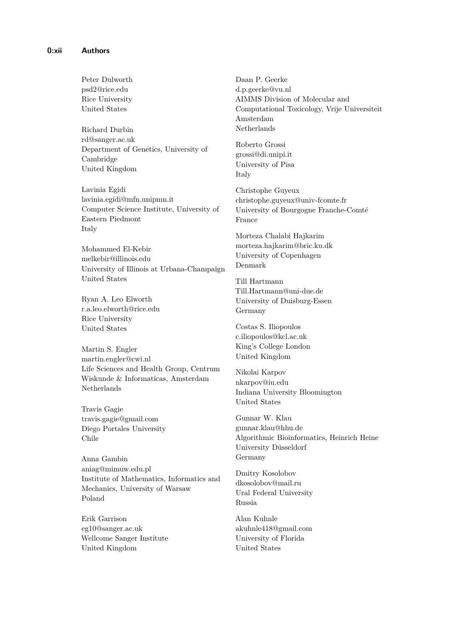Peter Dulworth psd2@rice.edu Rice University United States

Richard Durbin rd@sanger.ac.uk Department of Genetics, University of Cambridge United Kingdom

Lavinia Egidi lavinia.egidi@mfn.unipmn.it Computer Science Institute, University of Eastern Piedmont Italy

Mohammed El-Kebir melkebir@illinois.edu University of Illinois at Urbana-Champaign United States

Ryan A. Leo Elworth r.a.leo.elworth@rice.edu Rice University United States

Martin S. Engler martin.engler@cwi.nl Life Sciences and Health Group, Centrum Wiskunde & Informaticas, Amsterdam Netherlands

Travis Gagie travis.gagie@gmail.com Diego Portales University Chile

Anna Gambin aniag@mimuw.edu.pl Institute of Mathematics, Informatics and Mechanics, University of Warsaw Poland

Erik Garrison eg10@sanger.ac.uk Wellcome Sanger Institute United Kingdom

Daan P. Geerke d.p.geerke@vu.nl AIMMS Division of Molecular and Computational Toxicology, Vrije Universiteit Amsterdam Netherlands

Roberto Grossi grossi@di.unipi.it University of Pisa Italy

Christophe Guyeux christophe.guyeux@univ-fcomte.fr University of Bourgogne Franche-Comté France

Morteza Chalabi Hajkarim morteza.hajkarim@bric.ku.dk University of Copenhagen Denmark

Till Hartmann Till.Hartmann@uni-due.de University of Duisburg-Essen Germany

Costas S. Iliopoulos c.iliopoulos@kcl.ac.uk King's College London United Kingdom

Nikolai Karpov nkarpov@iu.edu Indiana University Bloomington United States

Gunnar W. Klau gunnar.klau@hhu.de Algorithmic Bioinformatics, Heinrich Heine University Düsseldorf Germany

Dmitry Kosolobov dkosolobov@mail.ru Ural Federal University Russia

Alan Kuhnle akuhnle418@gmail.com University of Florida United States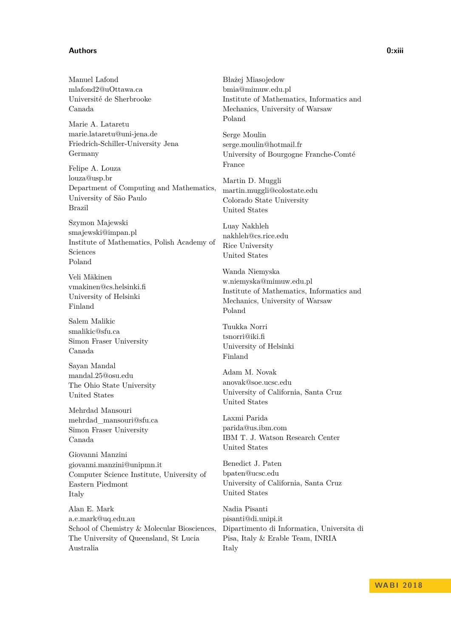### **Authors 0:xiii**

Manuel Lafond

mlafond2@uOttawa.ca Université de Sherbrooke Canada Marie A. Lataretu marie.lataretu@uni-jena.de Friedrich-Schiller-University Jena Germany Felipe A. Louza louza@usp.br Department of Computing and Mathematics, University of São Paulo Brazil Szymon Majewski smajewski@impan.pl Institute of Mathematics, Polish Academy of Sciences Poland Veli Mäkinen vmakinen@cs.helsinki.fi University of Helsinki Finland

Salem Malikic smalikic@sfu.ca Simon Fraser University Canada

Sayan Mandal mandal.25@osu.edu The Ohio State University United States

Mehrdad Mansouri mehrdad\_mansouri@sfu.ca Simon Fraser University Canada

Giovanni Manzini giovanni.manzini@unipmn.it Computer Science Institute, University of Eastern Piedmont Italy

Alan E. Mark a.e.mark@uq.edu.au School of Chemistry & Molecular Biosciences, The University of Queensland, St Lucia Australia

Błażej Miasojedow bmia@mimuw.edu.pl Institute of Mathematics, Informatics and Mechanics, University of Warsaw Poland

Serge Moulin serge.moulin@hotmail.fr University of Bourgogne Franche-Comté France

Martin D. Muggli martin.muggli@colostate.edu Colorado State University United States

Luay Nakhleh nakhleh@cs.rice.edu Rice University United States

Wanda Niemyska w.niemyska@mimuw.edu.pl Institute of Mathematics, Informatics and Mechanics, University of Warsaw Poland

Tuukka Norri tsnorri@iki.fi University of Helsinki Finland

Adam M. Novak anovak@soe.ucsc.edu University of California, Santa Cruz United States

Laxmi Parida parida@us.ibm.com IBM T. J. Watson Research Center United States

Benedict J. Paten bpaten@ucsc.edu University of California, Santa Cruz United States

Nadia Pisanti pisanti@di.unipi.it Dipartimento di Informatica, Universita di Pisa, Italy & Erable Team, INRIA Italy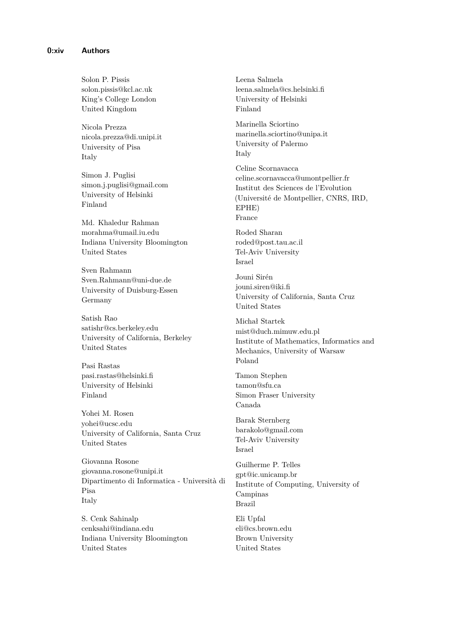Solon P. Pissis solon.pissis@kcl.ac.uk King's College London United Kingdom

Nicola Prezza nicola.prezza@di.unipi.it University of Pisa Italy

Simon J. Puglisi simon.j.puglisi@gmail.com University of Helsinki Finland

Md. Khaledur Rahman morahma@umail.iu.edu Indiana University Bloomington United States

Sven Rahmann Sven.Rahmann@uni-due.de University of Duisburg-Essen Germany

Satish Rao satishr@cs.berkeley.edu University of California, Berkeley United States

Pasi Rastas pasi.rastas@helsinki.fi University of Helsinki Finland

Yohei M. Rosen yohei@ucsc.edu University of California, Santa Cruz United States

Giovanna Rosone giovanna.rosone@unipi.it Dipartimento di Informatica - Università di Pisa Italy

S. Cenk Sahinalp cenksahi@indiana.edu Indiana University Bloomington United States

Leena Salmela leena.salmela@cs.helsinki.fi University of Helsinki Finland Marinella Sciortino marinella.sciortino@unipa.it University of Palermo Italy Celine Scornavacca celine.scornavacca@umontpellier.fr Institut des Sciences de l'Evolution (Université de Montpellier, CNRS, IRD, EPHE) France Roded Sharan roded@post.tau.ac.il Tel-Aviv University Israel Jouni Sirén jouni.siren@iki.fi University of California, Santa Cruz United States Michał Startek mist@duch.mimuw.edu.pl Institute of Mathematics, Informatics and Mechanics, University of Warsaw Poland Tamon Stephen tamon@sfu.ca Simon Fraser University Canada Barak Sternberg barakolo@gmail.com Tel-Aviv University Israel Guilherme P. Telles gpt@ic.unicamp.br Institute of Computing, University of Campinas Brazil Eli Upfal

eli@cs.brown.edu Brown University United States